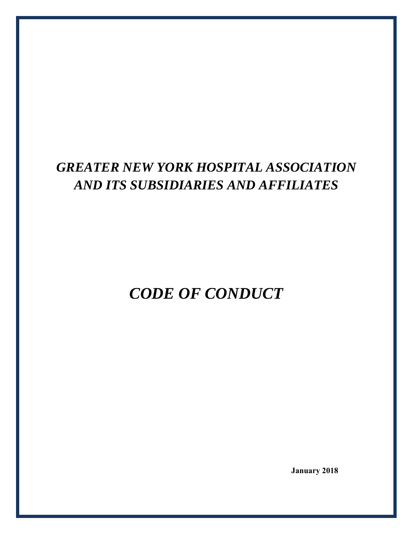# *GREATER NEW YORK HOSPITAL ASSOCIATION AND ITS SUBSIDIARIES AND AFFILIATES*

*CODE OF CONDUCT* 

**January 2018**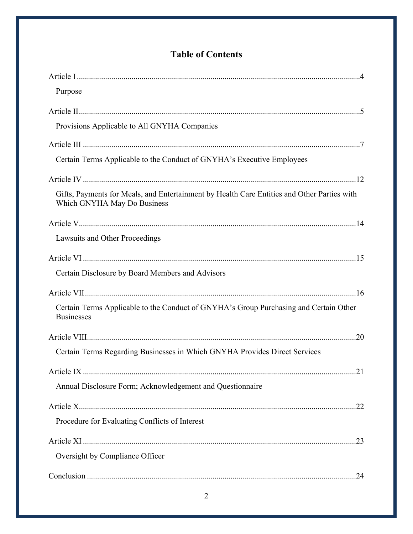## **Table of Contents**

| Purpose                                                                                                                    |
|----------------------------------------------------------------------------------------------------------------------------|
|                                                                                                                            |
| Provisions Applicable to All GNYHA Companies                                                                               |
|                                                                                                                            |
| Certain Terms Applicable to the Conduct of GNYHA's Executive Employees                                                     |
|                                                                                                                            |
| Gifts, Payments for Meals, and Entertainment by Health Care Entities and Other Parties with<br>Which GNYHA May Do Business |
|                                                                                                                            |
| Lawsuits and Other Proceedings                                                                                             |
|                                                                                                                            |
| Certain Disclosure by Board Members and Advisors                                                                           |
|                                                                                                                            |
| Certain Terms Applicable to the Conduct of GNYHA's Group Purchasing and Certain Other<br><b>Businesses</b>                 |
|                                                                                                                            |
| Certain Terms Regarding Businesses in Which GNYHA Provides Direct Services                                                 |
|                                                                                                                            |
| Annual Disclosure Form; Acknowledgement and Questionnaire                                                                  |
|                                                                                                                            |
| Procedure for Evaluating Conflicts of Interest                                                                             |
|                                                                                                                            |
| Oversight by Compliance Officer                                                                                            |
|                                                                                                                            |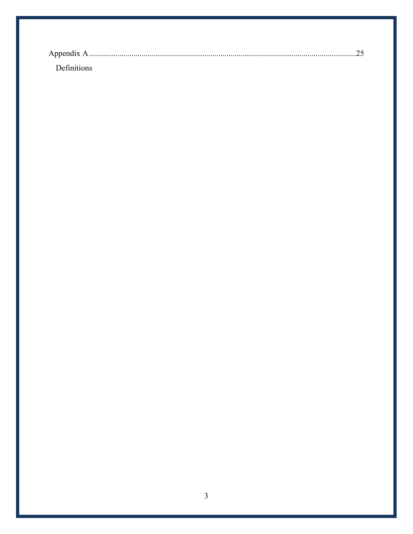| <b>Definitions</b> |  |
|--------------------|--|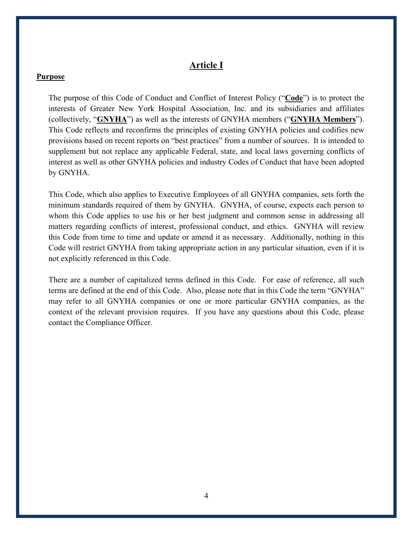#### **Article I**

#### **Purpose**

The purpose of this Code of Conduct and Conflict of Interest Policy ("**Code**") is to protect the interests of Greater New York Hospital Association, Inc. and its subsidiaries and affiliates (collectively, "**GNYHA**") as well as the interests of GNYHA members ("**GNYHA Members**"). This Code reflects and reconfirms the principles of existing GNYHA policies and codifies new provisions based on recent reports on "best practices" from a number of sources. It is intended to supplement but not replace any applicable Federal, state, and local laws governing conflicts of interest as well as other GNYHA policies and industry Codes of Conduct that have been adopted by GNYHA.

This Code, which also applies to Executive Employees of all GNYHA companies, sets forth the minimum standards required of them by GNYHA. GNYHA, of course, expects each person to whom this Code applies to use his or her best judgment and common sense in addressing all matters regarding conflicts of interest, professional conduct, and ethics. GNYHA will review this Code from time to time and update or amend it as necessary. Additionally, nothing in this Code will restrict GNYHA from taking appropriate action in any particular situation, even if it is not explicitly referenced in this Code.

There are a number of capitalized terms defined in this Code. For ease of reference, all such terms are defined at the end of this Code. Also, please note that in this Code the term "GNYHA" may refer to all GNYHA companies or one or more particular GNYHA companies, as the context of the relevant provision requires. If you have any questions about this Code, please contact the Compliance Officer.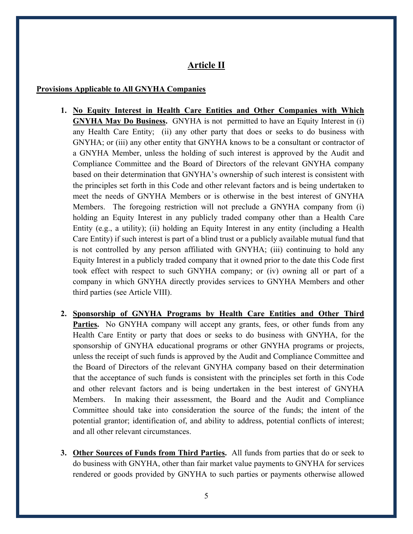## **Article II**

#### **Provisions Applicable to All GNYHA Companies**

- **1. No Equity Interest in Health Care Entities and Other Companies with Which GNYHA May Do Business.** GNYHA is not permitted to have an Equity Interest in (i) any Health Care Entity; (ii) any other party that does or seeks to do business with GNYHA; or (iii) any other entity that GNYHA knows to be a consultant or contractor of a GNYHA Member, unless the holding of such interest is approved by the Audit and Compliance Committee and the Board of Directors of the relevant GNYHA company based on their determination that GNYHA's ownership of such interest is consistent with the principles set forth in this Code and other relevant factors and is being undertaken to meet the needs of GNYHA Members or is otherwise in the best interest of GNYHA Members. The foregoing restriction will not preclude a GNYHA company from (i) holding an Equity Interest in any publicly traded company other than a Health Care Entity (e.g., a utility); (ii) holding an Equity Interest in any entity (including a Health Care Entity) if such interest is part of a blind trust or a publicly available mutual fund that is not controlled by any person affiliated with GNYHA; (iii) continuing to hold any Equity Interest in a publicly traded company that it owned prior to the date this Code first took effect with respect to such GNYHA company; or (iv) owning all or part of a company in which GNYHA directly provides services to GNYHA Members and other third parties (see Article VIII).
- **2. Sponsorship of GNYHA Programs by Health Care Entities and Other Third Parties.** No GNYHA company will accept any grants, fees, or other funds from any Health Care Entity or party that does or seeks to do business with GNYHA, for the sponsorship of GNYHA educational programs or other GNYHA programs or projects, unless the receipt of such funds is approved by the Audit and Compliance Committee and the Board of Directors of the relevant GNYHA company based on their determination that the acceptance of such funds is consistent with the principles set forth in this Code and other relevant factors and is being undertaken in the best interest of GNYHA Members. In making their assessment, the Board and the Audit and Compliance Committee should take into consideration the source of the funds; the intent of the potential grantor; identification of, and ability to address, potential conflicts of interest; and all other relevant circumstances.
- **3. Other Sources of Funds from Third Parties.** All funds from parties that do or seek to do business with GNYHA, other than fair market value payments to GNYHA for services rendered or goods provided by GNYHA to such parties or payments otherwise allowed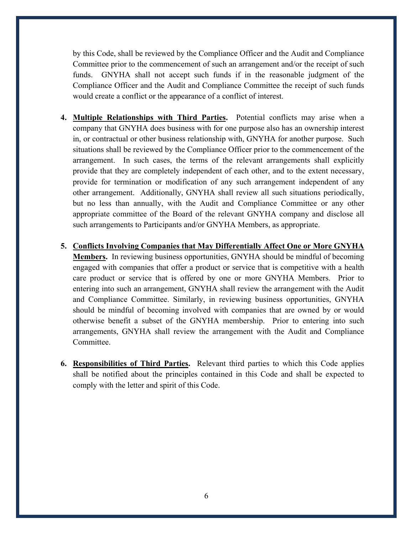by this Code, shall be reviewed by the Compliance Officer and the Audit and Compliance Committee prior to the commencement of such an arrangement and/or the receipt of such funds. GNYHA shall not accept such funds if in the reasonable judgment of the Compliance Officer and the Audit and Compliance Committee the receipt of such funds would create a conflict or the appearance of a conflict of interest.

- **4. Multiple Relationships with Third Parties.** Potential conflicts may arise when a company that GNYHA does business with for one purpose also has an ownership interest in, or contractual or other business relationship with, GNYHA for another purpose. Such situations shall be reviewed by the Compliance Officer prior to the commencement of the arrangement. In such cases, the terms of the relevant arrangements shall explicitly provide that they are completely independent of each other, and to the extent necessary, provide for termination or modification of any such arrangement independent of any other arrangement. Additionally, GNYHA shall review all such situations periodically, but no less than annually, with the Audit and Compliance Committee or any other appropriate committee of the Board of the relevant GNYHA company and disclose all such arrangements to Participants and/or GNYHA Members, as appropriate.
- **5. Conflicts Involving Companies that May Differentially Affect One or More GNYHA Members.** In reviewing business opportunities, GNYHA should be mindful of becoming engaged with companies that offer a product or service that is competitive with a health care product or service that is offered by one or more GNYHA Members. Prior to entering into such an arrangement, GNYHA shall review the arrangement with the Audit and Compliance Committee. Similarly, in reviewing business opportunities, GNYHA should be mindful of becoming involved with companies that are owned by or would otherwise benefit a subset of the GNYHA membership. Prior to entering into such arrangements, GNYHA shall review the arrangement with the Audit and Compliance Committee.
- **6. Responsibilities of Third Parties.** Relevant third parties to which this Code applies shall be notified about the principles contained in this Code and shall be expected to comply with the letter and spirit of this Code.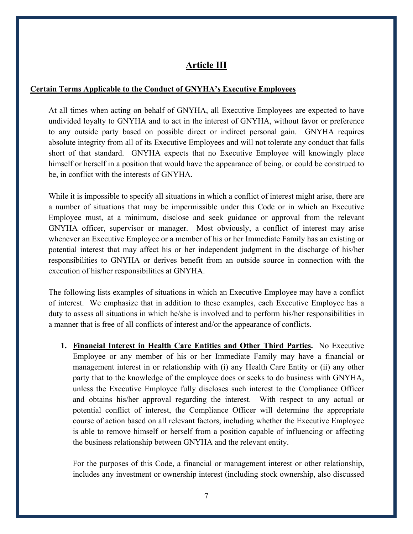## **Article III**

#### **Certain Terms Applicable to the Conduct of GNYHA's Executive Employees**

At all times when acting on behalf of GNYHA, all Executive Employees are expected to have undivided loyalty to GNYHA and to act in the interest of GNYHA, without favor or preference to any outside party based on possible direct or indirect personal gain. GNYHA requires absolute integrity from all of its Executive Employees and will not tolerate any conduct that falls short of that standard. GNYHA expects that no Executive Employee will knowingly place himself or herself in a position that would have the appearance of being, or could be construed to be, in conflict with the interests of GNYHA.

While it is impossible to specify all situations in which a conflict of interest might arise, there are a number of situations that may be impermissible under this Code or in which an Executive Employee must, at a minimum, disclose and seek guidance or approval from the relevant GNYHA officer, supervisor or manager. Most obviously, a conflict of interest may arise whenever an Executive Employee or a member of his or her Immediate Family has an existing or potential interest that may affect his or her independent judgment in the discharge of his/her responsibilities to GNYHA or derives benefit from an outside source in connection with the execution of his/her responsibilities at GNYHA.

The following lists examples of situations in which an Executive Employee may have a conflict of interest. We emphasize that in addition to these examples, each Executive Employee has a duty to assess all situations in which he/she is involved and to perform his/her responsibilities in a manner that is free of all conflicts of interest and/or the appearance of conflicts.

**1. Financial Interest in Health Care Entities and Other Third Parties.** No Executive Employee or any member of his or her Immediate Family may have a financial or management interest in or relationship with (i) any Health Care Entity or (ii) any other party that to the knowledge of the employee does or seeks to do business with GNYHA, unless the Executive Employee fully discloses such interest to the Compliance Officer and obtains his/her approval regarding the interest. With respect to any actual or potential conflict of interest, the Compliance Officer will determine the appropriate course of action based on all relevant factors, including whether the Executive Employee is able to remove himself or herself from a position capable of influencing or affecting the business relationship between GNYHA and the relevant entity.

For the purposes of this Code, a financial or management interest or other relationship, includes any investment or ownership interest (including stock ownership, also discussed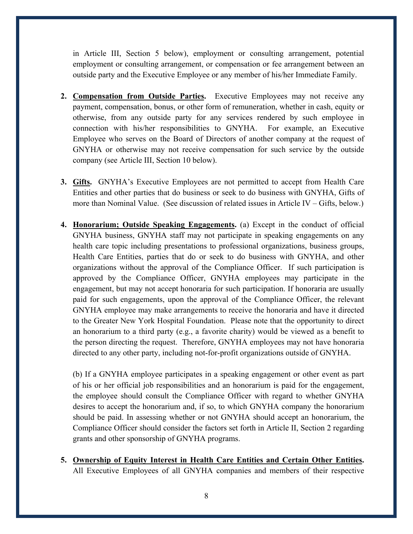in Article III, Section 5 below), employment or consulting arrangement, potential employment or consulting arrangement, or compensation or fee arrangement between an outside party and the Executive Employee or any member of his/her Immediate Family.

- **2. Compensation from Outside Parties.** Executive Employees may not receive any payment, compensation, bonus, or other form of remuneration, whether in cash, equity or otherwise, from any outside party for any services rendered by such employee in connection with his/her responsibilities to GNYHA. For example, an Executive Employee who serves on the Board of Directors of another company at the request of GNYHA or otherwise may not receive compensation for such service by the outside company (see Article III, Section 10 below).
- **3. Gifts.** GNYHA's Executive Employees are not permitted to accept from Health Care Entities and other parties that do business or seek to do business with GNYHA, Gifts of more than Nominal Value. (See discussion of related issues in Article IV – Gifts, below.)
- **4. Honorarium; Outside Speaking Engagements.** (a) Except in the conduct of official GNYHA business, GNYHA staff may not participate in speaking engagements on any health care topic including presentations to professional organizations, business groups, Health Care Entities, parties that do or seek to do business with GNYHA, and other organizations without the approval of the Compliance Officer. If such participation is approved by the Compliance Officer, GNYHA employees may participate in the engagement, but may not accept honoraria for such participation. If honoraria are usually paid for such engagements, upon the approval of the Compliance Officer, the relevant GNYHA employee may make arrangements to receive the honoraria and have it directed to the Greater New York Hospital Foundation. Please note that the opportunity to direct an honorarium to a third party (e.g., a favorite charity) would be viewed as a benefit to the person directing the request. Therefore, GNYHA employees may not have honoraria directed to any other party, including not-for-profit organizations outside of GNYHA.

(b) If a GNYHA employee participates in a speaking engagement or other event as part of his or her official job responsibilities and an honorarium is paid for the engagement, the employee should consult the Compliance Officer with regard to whether GNYHA desires to accept the honorarium and, if so, to which GNYHA company the honorarium should be paid. In assessing whether or not GNYHA should accept an honorarium, the Compliance Officer should consider the factors set forth in Article II, Section 2 regarding grants and other sponsorship of GNYHA programs.

**5. Ownership of Equity Interest in Health Care Entities and Certain Other Entities.** All Executive Employees of all GNYHA companies and members of their respective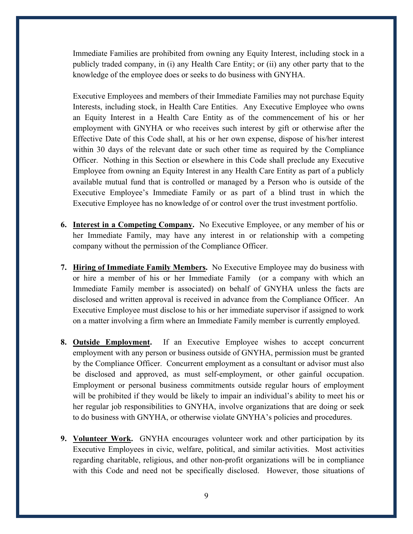Immediate Families are prohibited from owning any Equity Interest, including stock in a publicly traded company, in (i) any Health Care Entity; or (ii) any other party that to the knowledge of the employee does or seeks to do business with GNYHA.

Executive Employees and members of their Immediate Families may not purchase Equity Interests, including stock, in Health Care Entities. Any Executive Employee who owns an Equity Interest in a Health Care Entity as of the commencement of his or her employment with GNYHA or who receives such interest by gift or otherwise after the Effective Date of this Code shall, at his or her own expense, dispose of his/her interest within 30 days of the relevant date or such other time as required by the Compliance Officer. Nothing in this Section or elsewhere in this Code shall preclude any Executive Employee from owning an Equity Interest in any Health Care Entity as part of a publicly available mutual fund that is controlled or managed by a Person who is outside of the Executive Employee's Immediate Family or as part of a blind trust in which the Executive Employee has no knowledge of or control over the trust investment portfolio.

- **6. Interest in a Competing Company.** No Executive Employee, or any member of his or her Immediate Family, may have any interest in or relationship with a competing company without the permission of the Compliance Officer.
- **7. Hiring of Immediate Family Members.** No Executive Employee may do business with or hire a member of his or her Immediate Family (or a company with which an Immediate Family member is associated) on behalf of GNYHA unless the facts are disclosed and written approval is received in advance from the Compliance Officer. An Executive Employee must disclose to his or her immediate supervisor if assigned to work on a matter involving a firm where an Immediate Family member is currently employed.
- **8. Outside Employment.** If an Executive Employee wishes to accept concurrent employment with any person or business outside of GNYHA, permission must be granted by the Compliance Officer. Concurrent employment as a consultant or advisor must also be disclosed and approved, as must self-employment, or other gainful occupation. Employment or personal business commitments outside regular hours of employment will be prohibited if they would be likely to impair an individual's ability to meet his or her regular job responsibilities to GNYHA, involve organizations that are doing or seek to do business with GNYHA, or otherwise violate GNYHA's policies and procedures.
- **9. Volunteer Work.** GNYHA encourages volunteer work and other participation by its Executive Employees in civic, welfare, political, and similar activities. Most activities regarding charitable, religious, and other non-profit organizations will be in compliance with this Code and need not be specifically disclosed. However, those situations of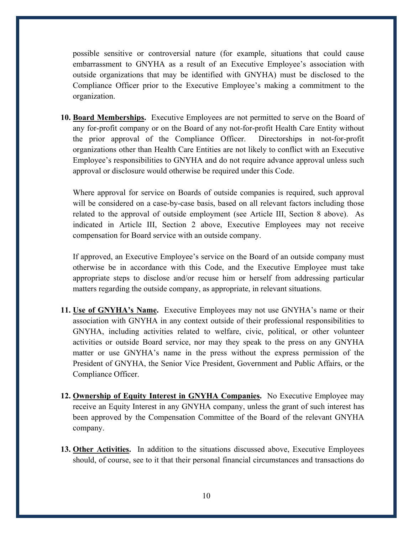possible sensitive or controversial nature (for example, situations that could cause embarrassment to GNYHA as a result of an Executive Employee's association with outside organizations that may be identified with GNYHA) must be disclosed to the Compliance Officer prior to the Executive Employee's making a commitment to the organization.

**10. Board Memberships.** Executive Employees are not permitted to serve on the Board of any for-profit company or on the Board of any not-for-profit Health Care Entity without the prior approval of the Compliance Officer. Directorships in not-for-profit organizations other than Health Care Entities are not likely to conflict with an Executive Employee's responsibilities to GNYHA and do not require advance approval unless such approval or disclosure would otherwise be required under this Code.

Where approval for service on Boards of outside companies is required, such approval will be considered on a case-by-case basis, based on all relevant factors including those related to the approval of outside employment (see Article III, Section 8 above). As indicated in Article III, Section 2 above, Executive Employees may not receive compensation for Board service with an outside company.

If approved, an Executive Employee's service on the Board of an outside company must otherwise be in accordance with this Code, and the Executive Employee must take appropriate steps to disclose and/or recuse him or herself from addressing particular matters regarding the outside company, as appropriate, in relevant situations.

- **11. Use of GNYHA's Name.** Executive Employees may not use GNYHA's name or their association with GNYHA in any context outside of their professional responsibilities to GNYHA, including activities related to welfare, civic, political, or other volunteer activities or outside Board service, nor may they speak to the press on any GNYHA matter or use GNYHA's name in the press without the express permission of the President of GNYHA, the Senior Vice President, Government and Public Affairs, or the Compliance Officer.
- **12. Ownership of Equity Interest in GNYHA Companies.** No Executive Employee may receive an Equity Interest in any GNYHA company, unless the grant of such interest has been approved by the Compensation Committee of the Board of the relevant GNYHA company.
- **13. Other Activities.** In addition to the situations discussed above, Executive Employees should, of course, see to it that their personal financial circumstances and transactions do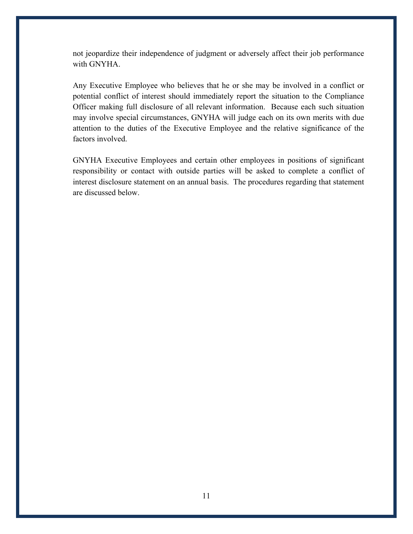not jeopardize their independence of judgment or adversely affect their job performance with GNYHA.

Any Executive Employee who believes that he or she may be involved in a conflict or potential conflict of interest should immediately report the situation to the Compliance Officer making full disclosure of all relevant information. Because each such situation may involve special circumstances, GNYHA will judge each on its own merits with due attention to the duties of the Executive Employee and the relative significance of the factors involved.

GNYHA Executive Employees and certain other employees in positions of significant responsibility or contact with outside parties will be asked to complete a conflict of interest disclosure statement on an annual basis. The procedures regarding that statement are discussed below.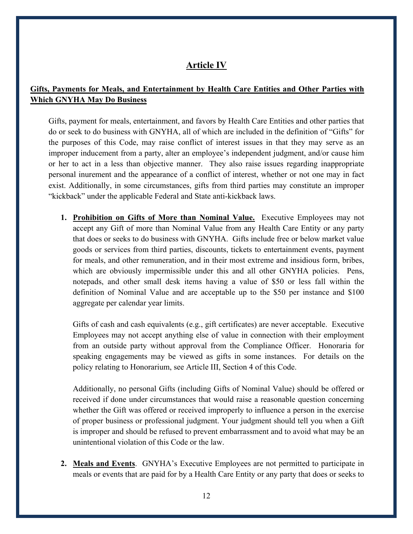## **Article IV**

## **Gifts, Payments for Meals, and Entertainment by Health Care Entities and Other Parties with Which GNYHA May Do Business**

Gifts, payment for meals, entertainment, and favors by Health Care Entities and other parties that do or seek to do business with GNYHA, all of which are included in the definition of "Gifts" for the purposes of this Code, may raise conflict of interest issues in that they may serve as an improper inducement from a party, alter an employee's independent judgment, and/or cause him or her to act in a less than objective manner. They also raise issues regarding inappropriate personal inurement and the appearance of a conflict of interest, whether or not one may in fact exist. Additionally, in some circumstances, gifts from third parties may constitute an improper "kickback" under the applicable Federal and State anti-kickback laws.

**1. Prohibition on Gifts of More than Nominal Value.** Executive Employees may not accept any Gift of more than Nominal Value from any Health Care Entity or any party that does or seeks to do business with GNYHA. Gifts include free or below market value goods or services from third parties, discounts, tickets to entertainment events, payment for meals, and other remuneration, and in their most extreme and insidious form, bribes, which are obviously impermissible under this and all other GNYHA policies. Pens, notepads, and other small desk items having a value of \$50 or less fall within the definition of Nominal Value and are acceptable up to the \$50 per instance and \$100 aggregate per calendar year limits.

Gifts of cash and cash equivalents (e.g., gift certificates) are never acceptable. Executive Employees may not accept anything else of value in connection with their employment from an outside party without approval from the Compliance Officer. Honoraria for speaking engagements may be viewed as gifts in some instances. For details on the policy relating to Honorarium, see Article III, Section 4 of this Code.

Additionally, no personal Gifts (including Gifts of Nominal Value) should be offered or received if done under circumstances that would raise a reasonable question concerning whether the Gift was offered or received improperly to influence a person in the exercise of proper business or professional judgment. Your judgment should tell you when a Gift is improper and should be refused to prevent embarrassment and to avoid what may be an unintentional violation of this Code or the law.

**2. Meals and Events**. GNYHA's Executive Employees are not permitted to participate in meals or events that are paid for by a Health Care Entity or any party that does or seeks to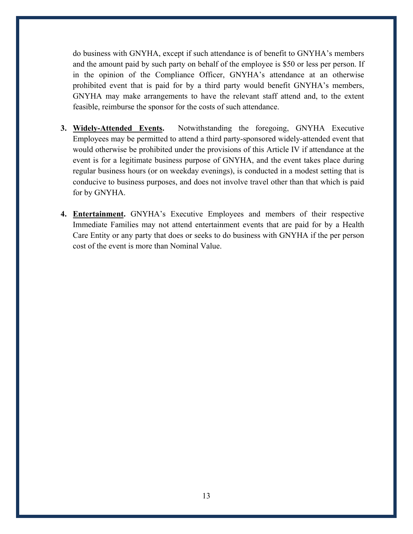do business with GNYHA, except if such attendance is of benefit to GNYHA's members and the amount paid by such party on behalf of the employee is \$50 or less per person. If in the opinion of the Compliance Officer, GNYHA's attendance at an otherwise prohibited event that is paid for by a third party would benefit GNYHA's members, GNYHA may make arrangements to have the relevant staff attend and, to the extent feasible, reimburse the sponsor for the costs of such attendance.

- **3. Widely-Attended Events.** Notwithstanding the foregoing, GNYHA Executive Employees may be permitted to attend a third party-sponsored widely-attended event that would otherwise be prohibited under the provisions of this Article IV if attendance at the event is for a legitimate business purpose of GNYHA, and the event takes place during regular business hours (or on weekday evenings), is conducted in a modest setting that is conducive to business purposes, and does not involve travel other than that which is paid for by GNYHA.
- **4. Entertainment.** GNYHA's Executive Employees and members of their respective Immediate Families may not attend entertainment events that are paid for by a Health Care Entity or any party that does or seeks to do business with GNYHA if the per person cost of the event is more than Nominal Value.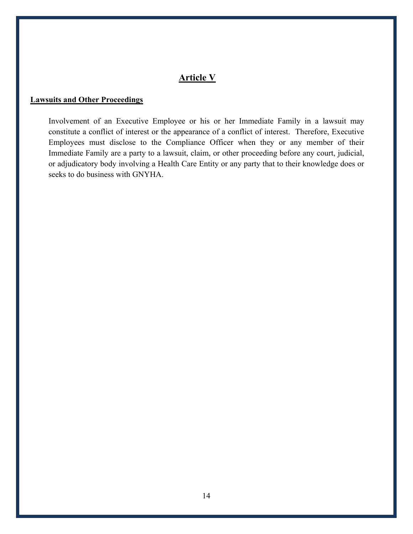## **Article V**

#### **Lawsuits and Other Proceedings**

Involvement of an Executive Employee or his or her Immediate Family in a lawsuit may constitute a conflict of interest or the appearance of a conflict of interest. Therefore, Executive Employees must disclose to the Compliance Officer when they or any member of their Immediate Family are a party to a lawsuit, claim, or other proceeding before any court, judicial, or adjudicatory body involving a Health Care Entity or any party that to their knowledge does or seeks to do business with GNYHA.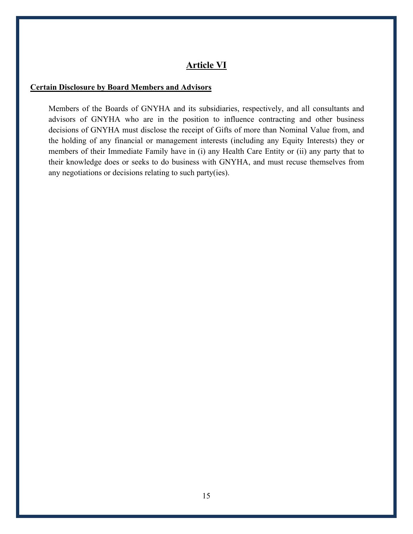## **Article VI**

#### **Certain Disclosure by Board Members and Advisors**

Members of the Boards of GNYHA and its subsidiaries, respectively, and all consultants and advisors of GNYHA who are in the position to influence contracting and other business decisions of GNYHA must disclose the receipt of Gifts of more than Nominal Value from, and the holding of any financial or management interests (including any Equity Interests) they or members of their Immediate Family have in (i) any Health Care Entity or (ii) any party that to their knowledge does or seeks to do business with GNYHA, and must recuse themselves from any negotiations or decisions relating to such party(ies).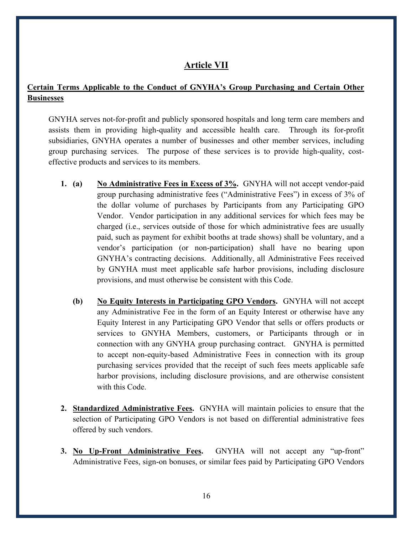### **Article VII**

#### **Certain Terms Applicable to the Conduct of GNYHA's Group Purchasing and Certain Other Businesses**

GNYHA serves not-for-profit and publicly sponsored hospitals and long term care members and assists them in providing high-quality and accessible health care. Through its for-profit subsidiaries, GNYHA operates a number of businesses and other member services, including group purchasing services. The purpose of these services is to provide high-quality, costeffective products and services to its members.

- **1. (a) No Administrative Fees in Excess of 3%.** GNYHA will not accept vendor-paid group purchasing administrative fees ("Administrative Fees") in excess of 3% of the dollar volume of purchases by Participants from any Participating GPO Vendor. Vendor participation in any additional services for which fees may be charged (i.e., services outside of those for which administrative fees are usually paid, such as payment for exhibit booths at trade shows) shall be voluntary, and a vendor's participation (or non-participation) shall have no bearing upon GNYHA's contracting decisions. Additionally, all Administrative Fees received by GNYHA must meet applicable safe harbor provisions, including disclosure provisions, and must otherwise be consistent with this Code.
	- **(b) No Equity Interests in Participating GPO Vendors.** GNYHA will not accept any Administrative Fee in the form of an Equity Interest or otherwise have any Equity Interest in any Participating GPO Vendor that sells or offers products or services to GNYHA Members, customers, or Participants through or in connection with any GNYHA group purchasing contract. GNYHA is permitted to accept non-equity-based Administrative Fees in connection with its group purchasing services provided that the receipt of such fees meets applicable safe harbor provisions, including disclosure provisions, and are otherwise consistent with this Code.
- **2. Standardized Administrative Fees.** GNYHA will maintain policies to ensure that the selection of Participating GPO Vendors is not based on differential administrative fees offered by such vendors.
- **3. No Up-Front Administrative Fees.** GNYHA will not accept any "up-front" Administrative Fees, sign-on bonuses, or similar fees paid by Participating GPO Vendors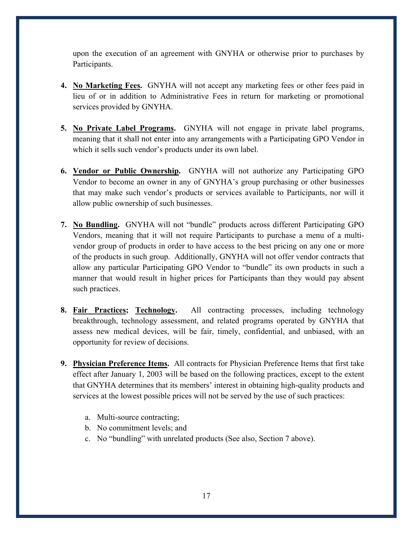upon the execution of an agreement with GNYHA or otherwise prior to purchases by Participants.

- **4. No Marketing Fees.** GNYHA will not accept any marketing fees or other fees paid in lieu of or in addition to Administrative Fees in return for marketing or promotional services provided by GNYHA.
- **5. No Private Label Programs.** GNYHA will not engage in private label programs, meaning that it shall not enter into any arrangements with a Participating GPO Vendor in which it sells such vendor's products under its own label.
- **6. Vendor or Public Ownership.** GNYHA will not authorize any Participating GPO Vendor to become an owner in any of GNYHA's group purchasing or other businesses that may make such vendor's products or services available to Participants, nor will it allow public ownership of such businesses.
- **7. No Bundling.** GNYHA will not "bundle" products across different Participating GPO Vendors, meaning that it will not require Participants to purchase a menu of a multivendor group of products in order to have access to the best pricing on any one or more of the products in such group. Additionally, GNYHA will not offer vendor contracts that allow any particular Participating GPO Vendor to "bundle" its own products in such a manner that would result in higher prices for Participants than they would pay absent such practices.
- **8. Fair Practices; Technology.** All contracting processes, including technology breakthrough, technology assessment, and related programs operated by GNYHA that assess new medical devices, will be fair, timely, confidential, and unbiased, with an opportunity for review of decisions.
- **9. Physician Preference Items.** All contracts for Physician Preference Items that first take effect after January 1, 2003 will be based on the following practices, except to the extent that GNYHA determines that its members' interest in obtaining high-quality products and services at the lowest possible prices will not be served by the use of such practices:
	- a. Multi-source contracting;
	- b. No commitment levels; and
	- c. No "bundling" with unrelated products (See also, Section 7 above).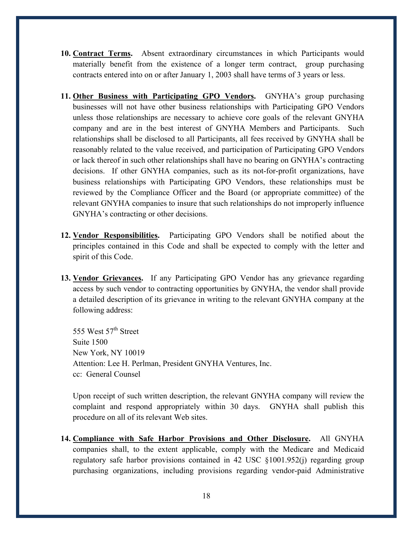- **10. Contract Terms.** Absent extraordinary circumstances in which Participants would materially benefit from the existence of a longer term contract, group purchasing contracts entered into on or after January 1, 2003 shall have terms of 3 years or less.
- **11. Other Business with Participating GPO Vendors.** GNYHA's group purchasing businesses will not have other business relationships with Participating GPO Vendors unless those relationships are necessary to achieve core goals of the relevant GNYHA company and are in the best interest of GNYHA Members and Participants. Such relationships shall be disclosed to all Participants, all fees received by GNYHA shall be reasonably related to the value received, and participation of Participating GPO Vendors or lack thereof in such other relationships shall have no bearing on GNYHA's contracting decisions. If other GNYHA companies, such as its not-for-profit organizations, have business relationships with Participating GPO Vendors, these relationships must be reviewed by the Compliance Officer and the Board (or appropriate committee) of the relevant GNYHA companies to insure that such relationships do not improperly influence GNYHA's contracting or other decisions.
- **12. Vendor Responsibilities.** Participating GPO Vendors shall be notified about the principles contained in this Code and shall be expected to comply with the letter and spirit of this Code.
- **13. Vendor Grievances.** If any Participating GPO Vendor has any grievance regarding access by such vendor to contracting opportunities by GNYHA, the vendor shall provide a detailed description of its grievance in writing to the relevant GNYHA company at the following address:

555 West 57<sup>th</sup> Street Suite 1500 New York, NY 10019 Attention: Lee H. Perlman, President GNYHA Ventures, Inc. cc: General Counsel

Upon receipt of such written description, the relevant GNYHA company will review the complaint and respond appropriately within 30 days. GNYHA shall publish this procedure on all of its relevant Web sites.

**14. Compliance with Safe Harbor Provisions and Other Disclosure.** All GNYHA companies shall, to the extent applicable, comply with the Medicare and Medicaid regulatory safe harbor provisions contained in 42 USC §1001.952(j) regarding group purchasing organizations, including provisions regarding vendor-paid Administrative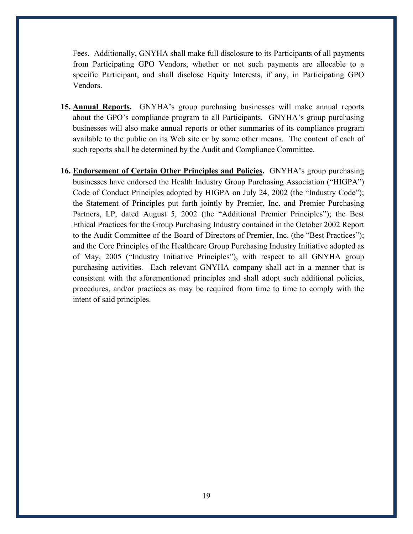Fees. Additionally, GNYHA shall make full disclosure to its Participants of all payments from Participating GPO Vendors, whether or not such payments are allocable to a specific Participant, and shall disclose Equity Interests, if any, in Participating GPO Vendors.

- **15. Annual Reports.** GNYHA's group purchasing businesses will make annual reports about the GPO's compliance program to all Participants. GNYHA's group purchasing businesses will also make annual reports or other summaries of its compliance program available to the public on its Web site or by some other means. The content of each of such reports shall be determined by the Audit and Compliance Committee.
- **16. Endorsement of Certain Other Principles and Policies.** GNYHA's group purchasing businesses have endorsed the Health Industry Group Purchasing Association ("HIGPA") Code of Conduct Principles adopted by HIGPA on July 24, 2002 (the "Industry Code"); the Statement of Principles put forth jointly by Premier, Inc. and Premier Purchasing Partners, LP, dated August 5, 2002 (the "Additional Premier Principles"); the Best Ethical Practices for the Group Purchasing Industry contained in the October 2002 Report to the Audit Committee of the Board of Directors of Premier, Inc. (the "Best Practices"); and the Core Principles of the Healthcare Group Purchasing Industry Initiative adopted as of May, 2005 ("Industry Initiative Principles"), with respect to all GNYHA group purchasing activities. Each relevant GNYHA company shall act in a manner that is consistent with the aforementioned principles and shall adopt such additional policies, procedures, and/or practices as may be required from time to time to comply with the intent of said principles.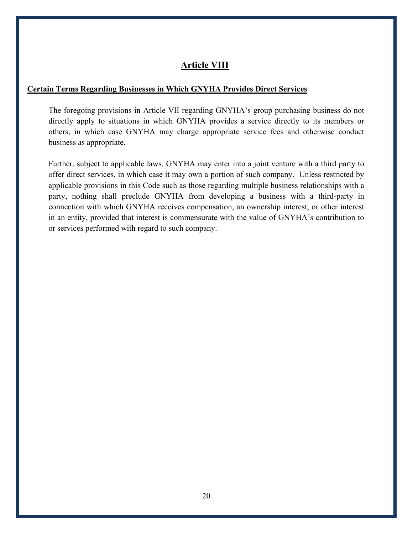## **Article VIII**

#### **Certain Terms Regarding Businesses in Which GNYHA Provides Direct Services**

The foregoing provisions in Article VII regarding GNYHA's group purchasing business do not directly apply to situations in which GNYHA provides a service directly to its members or others, in which case GNYHA may charge appropriate service fees and otherwise conduct business as appropriate.

Further, subject to applicable laws, GNYHA may enter into a joint venture with a third party to offer direct services, in which case it may own a portion of such company. Unless restricted by applicable provisions in this Code such as those regarding multiple business relationships with a party, nothing shall preclude GNYHA from developing a business with a third-party in connection with which GNYHA receives compensation, an ownership interest, or other interest in an entity, provided that interest is commensurate with the value of GNYHA's contribution to or services performed with regard to such company.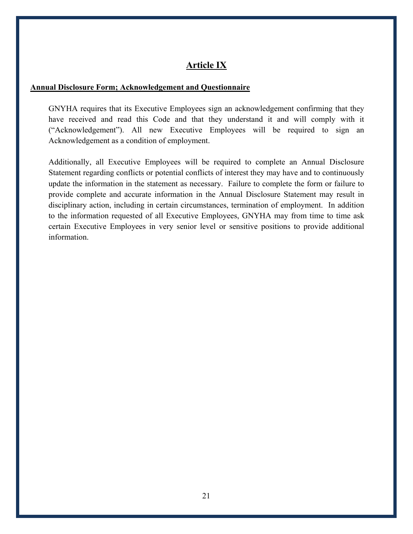## **Article IX**

#### **Annual Disclosure Form; Acknowledgement and Questionnaire**

GNYHA requires that its Executive Employees sign an acknowledgement confirming that they have received and read this Code and that they understand it and will comply with it ("Acknowledgement"). All new Executive Employees will be required to sign an Acknowledgement as a condition of employment.

Additionally, all Executive Employees will be required to complete an Annual Disclosure Statement regarding conflicts or potential conflicts of interest they may have and to continuously update the information in the statement as necessary. Failure to complete the form or failure to provide complete and accurate information in the Annual Disclosure Statement may result in disciplinary action, including in certain circumstances, termination of employment. In addition to the information requested of all Executive Employees, GNYHA may from time to time ask certain Executive Employees in very senior level or sensitive positions to provide additional information.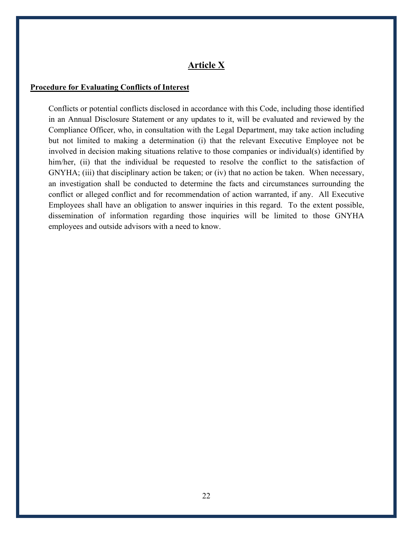#### **Article X**

#### **Procedure for Evaluating Conflicts of Interest**

Conflicts or potential conflicts disclosed in accordance with this Code, including those identified in an Annual Disclosure Statement or any updates to it, will be evaluated and reviewed by the Compliance Officer, who, in consultation with the Legal Department, may take action including but not limited to making a determination (i) that the relevant Executive Employee not be involved in decision making situations relative to those companies or individual(s) identified by him/her, (ii) that the individual be requested to resolve the conflict to the satisfaction of GNYHA; (iii) that disciplinary action be taken; or (iv) that no action be taken. When necessary, an investigation shall be conducted to determine the facts and circumstances surrounding the conflict or alleged conflict and for recommendation of action warranted, if any. All Executive Employees shall have an obligation to answer inquiries in this regard. To the extent possible, dissemination of information regarding those inquiries will be limited to those GNYHA employees and outside advisors with a need to know.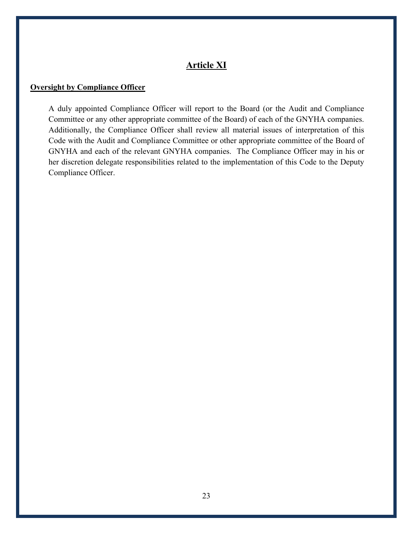## **Article XI**

#### **Oversight by Compliance Officer**

A duly appointed Compliance Officer will report to the Board (or the Audit and Compliance Committee or any other appropriate committee of the Board) of each of the GNYHA companies. Additionally, the Compliance Officer shall review all material issues of interpretation of this Code with the Audit and Compliance Committee or other appropriate committee of the Board of GNYHA and each of the relevant GNYHA companies. The Compliance Officer may in his or her discretion delegate responsibilities related to the implementation of this Code to the Deputy Compliance Officer.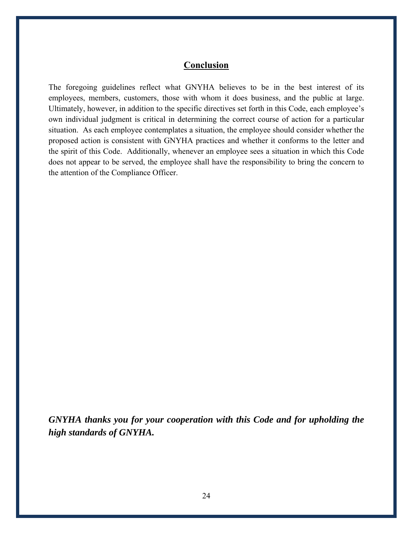## **Conclusion**

The foregoing guidelines reflect what GNYHA believes to be in the best interest of its employees, members, customers, those with whom it does business, and the public at large. Ultimately, however, in addition to the specific directives set forth in this Code, each employee's own individual judgment is critical in determining the correct course of action for a particular situation. As each employee contemplates a situation, the employee should consider whether the proposed action is consistent with GNYHA practices and whether it conforms to the letter and the spirit of this Code. Additionally, whenever an employee sees a situation in which this Code does not appear to be served, the employee shall have the responsibility to bring the concern to the attention of the Compliance Officer.

*GNYHA thanks you for your cooperation with this Code and for upholding the high standards of GNYHA.*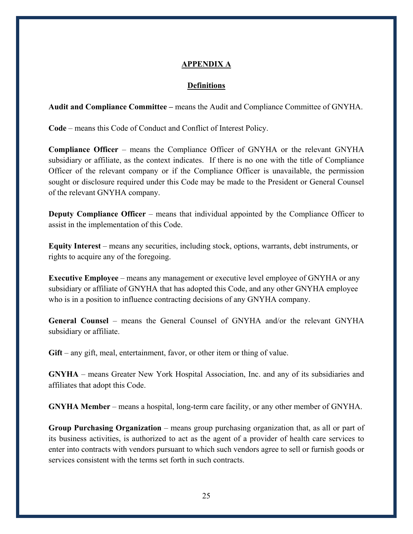#### **APPENDIX A**

#### **Definitions**

**Audit and Compliance Committee –** means the Audit and Compliance Committee of GNYHA.

**Code** – means this Code of Conduct and Conflict of Interest Policy.

**Compliance Officer** – means the Compliance Officer of GNYHA or the relevant GNYHA subsidiary or affiliate, as the context indicates. If there is no one with the title of Compliance Officer of the relevant company or if the Compliance Officer is unavailable, the permission sought or disclosure required under this Code may be made to the President or General Counsel of the relevant GNYHA company.

**Deputy Compliance Officer** – means that individual appointed by the Compliance Officer to assist in the implementation of this Code.

**Equity Interest** – means any securities, including stock, options, warrants, debt instruments, or rights to acquire any of the foregoing.

**Executive Employee** – means any management or executive level employee of GNYHA or any subsidiary or affiliate of GNYHA that has adopted this Code, and any other GNYHA employee who is in a position to influence contracting decisions of any GNYHA company.

**General Counsel** – means the General Counsel of GNYHA and/or the relevant GNYHA subsidiary or affiliate.

Gift – any gift, meal, entertainment, favor, or other item or thing of value.

**GNYHA** – means Greater New York Hospital Association, Inc. and any of its subsidiaries and affiliates that adopt this Code.

**GNYHA Member** – means a hospital, long-term care facility, or any other member of GNYHA.

**Group Purchasing Organization** – means group purchasing organization that, as all or part of its business activities, is authorized to act as the agent of a provider of health care services to enter into contracts with vendors pursuant to which such vendors agree to sell or furnish goods or services consistent with the terms set forth in such contracts.